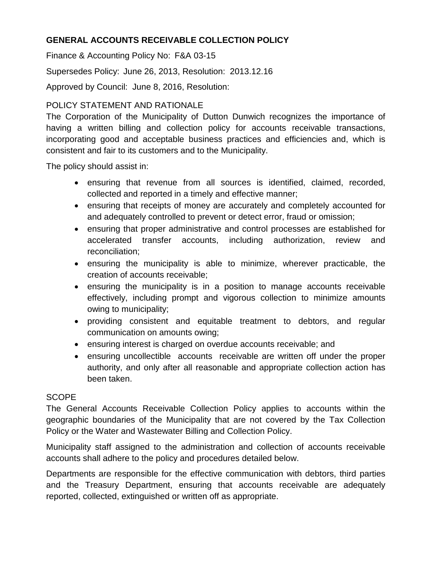# **GENERAL ACCOUNTS RECEIVABLE COLLECTION POLICY**

Finance & Accounting Policy No: F&A 03-15

Supersedes Policy: June 26, 2013, Resolution: 2013.12.16

Approved by Council: June 8, 2016, Resolution:

# POLICY STATEMENT AND RATIONALE

The Corporation of the Municipality of Dutton Dunwich recognizes the importance of having a written billing and collection policy for accounts receivable transactions, incorporating good and acceptable business practices and efficiencies and, which is consistent and fair to its customers and to the Municipality.

The policy should assist in:

- ensuring that revenue from all sources is identified, claimed, recorded, collected and reported in a timely and effective manner;
- ensuring that receipts of money are accurately and completely accounted for and adequately controlled to prevent or detect error, fraud or omission;
- ensuring that proper administrative and control processes are established for accelerated transfer accounts, including authorization, review and reconciliation;
- ensuring the municipality is able to minimize, wherever practicable, the creation of accounts receivable;
- ensuring the municipality is in a position to manage accounts receivable effectively, including prompt and vigorous collection to minimize amounts owing to municipality;
- providing consistent and equitable treatment to debtors, and regular communication on amounts owing;
- ensuring interest is charged on overdue accounts receivable; and
- ensuring uncollectible accounts receivable are written off under the proper authority, and only after all reasonable and appropriate collection action has been taken.

## **SCOPE**

The General Accounts Receivable Collection Policy applies to accounts within the geographic boundaries of the Municipality that are not covered by the Tax Collection Policy or the Water and Wastewater Billing and Collection Policy.

Municipality staff assigned to the administration and collection of accounts receivable accounts shall adhere to the policy and procedures detailed below.

Departments are responsible for the effective communication with debtors, third parties and the Treasury Department, ensuring that accounts receivable are adequately reported, collected, extinguished or written off as appropriate.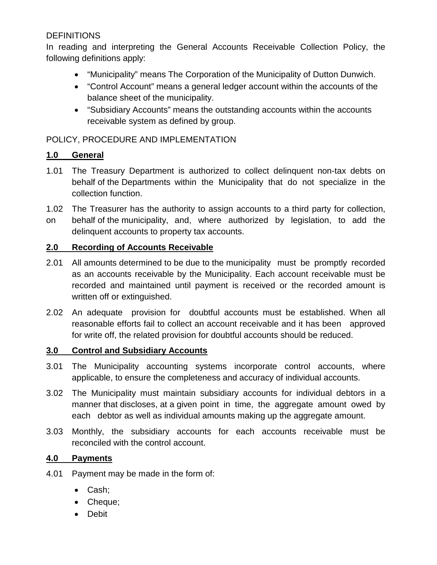# **DEFINITIONS**

In reading and interpreting the General Accounts Receivable Collection Policy, the following definitions apply:

- "Municipality" means The Corporation of the Municipality of Dutton Dunwich.
- "Control Account" means a general ledger account within the accounts of the balance sheet of the municipality.
- "Subsidiary Accounts" means the outstanding accounts within the accounts receivable system as defined by group.

POLICY, PROCEDURE AND IMPLEMENTATION

## **1.0 General**

- 1.01 The Treasury Department is authorized to collect delinquent non-tax debts on behalf of the Departments within the Municipality that do not specialize in the collection function.
- 1.02 The Treasurer has the authority to assign accounts to a third party for collection,
- on behalf of the municipality, and, where authorized by legislation, to add the delinquent accounts to property tax accounts.

## **2.0 Recording of Accounts Receivable**

- 2.01 All amounts determined to be due to the municipality must be promptly recorded as an accounts receivable by the Municipality. Each account receivable must be recorded and maintained until payment is received or the recorded amount is written off or extinguished.
- 2.02 An adequate provision for doubtful accounts must be established. When all reasonable efforts fail to collect an account receivable and it has been approved for write off, the related provision for doubtful accounts should be reduced.

## **3.0 Control and Subsidiary Accounts**

- 3.01 The Municipality accounting systems incorporate control accounts, where applicable, to ensure the completeness and accuracy of individual accounts.
- 3.02 The Municipality must maintain subsidiary accounts for individual debtors in a manner that discloses, at a given point in time, the aggregate amount owed by each debtor as well as individual amounts making up the aggregate amount.
- 3.03 Monthly, the subsidiary accounts for each accounts receivable must be reconciled with the control account.

## **4.0 Payments**

- 4.01 Payment may be made in the form of:
	- Cash;
	- Cheque;
	- Debit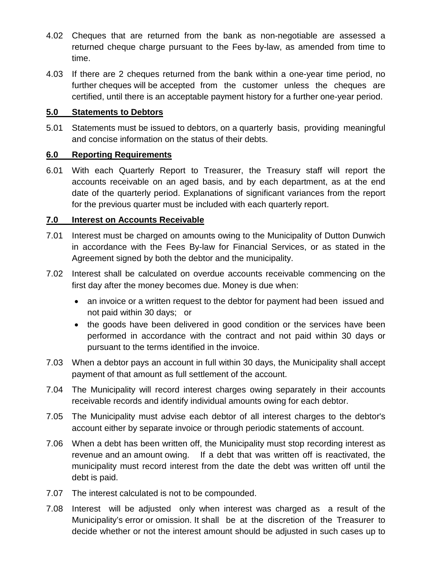- 4.02 Cheques that are returned from the bank as non-negotiable are assessed a returned cheque charge pursuant to the Fees by-law, as amended from time to time.
- 4.03 If there are 2 cheques returned from the bank within a one-year time period, no further cheques will be accepted from the customer unless the cheques are certified, until there is an acceptable payment history for a further one-year period.

#### **5.0 Statements to Debtors**

5.01 Statements must be issued to debtors, on a quarterly basis, providing meaningful and concise information on the status of their debts.

## **6.0 Reporting Requirements**

6.01 With each Quarterly Report to Treasurer, the Treasury staff will report the accounts receivable on an aged basis, and by each department, as at the end date of the quarterly period. Explanations of significant variances from the report for the previous quarter must be included with each quarterly report.

## **7.0 Interest on Accounts Receivable**

- 7.01 Interest must be charged on amounts owing to the Municipality of Dutton Dunwich in accordance with the Fees By-law for Financial Services, or as stated in the Agreement signed by both the debtor and the municipality.
- 7.02 Interest shall be calculated on overdue accounts receivable commencing on the first day after the money becomes due. Money is due when:
	- an invoice or a written request to the debtor for payment had been issued and not paid within 30 days; or
	- the goods have been delivered in good condition or the services have been performed in accordance with the contract and not paid within 30 days or pursuant to the terms identified in the invoice.
- 7.03 When a debtor pays an account in full within 30 days, the Municipality shall accept payment of that amount as full settlement of the account.
- 7.04 The Municipality will record interest charges owing separately in their accounts receivable records and identify individual amounts owing for each debtor.
- 7.05 The Municipality must advise each debtor of all interest charges to the debtor's account either by separate invoice or through periodic statements of account.
- 7.06 When a debt has been written off, the Municipality must stop recording interest as revenue and an amount owing. If a debt that was written off is reactivated, the municipality must record interest from the date the debt was written off until the debt is paid.
- 7.07 The interest calculated is not to be compounded.
- 7.08 Interest will be adjusted only when interest was charged as a result of the Municipality's error or omission. It shall be at the discretion of the Treasurer to decide whether or not the interest amount should be adjusted in such cases up to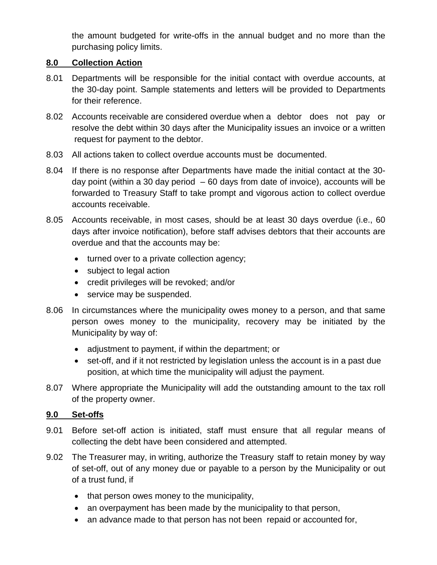the amount budgeted for write-offs in the annual budget and no more than the purchasing policy limits.

## **8.0 Collection Action**

- 8.01 Departments will be responsible for the initial contact with overdue accounts, at the 30-day point. Sample statements and letters will be provided to Departments for their reference.
- 8.02 Accounts receivable are considered overdue when a debtor does not pay or resolve the debt within 30 days after the Municipality issues an invoice or a written request for payment to the debtor.
- 8.03 All actions taken to collect overdue accounts must be documented.
- 8.04 If there is no response after Departments have made the initial contact at the 30 day point (within a 30 day period  $-60$  days from date of invoice), accounts will be forwarded to Treasury Staff to take prompt and vigorous action to collect overdue accounts receivable.
- 8.05 Accounts receivable, in most cases, should be at least 30 days overdue (i.e., 60 days after invoice notification), before staff advises debtors that their accounts are overdue and that the accounts may be:
	- turned over to a private collection agency;
	- subject to legal action
	- credit privileges will be revoked; and/or
	- service may be suspended.
- 8.06 In circumstances where the municipality owes money to a person, and that same person owes money to the municipality, recovery may be initiated by the Municipality by way of:
	- adjustment to payment, if within the department; or
	- set-off, and if it not restricted by legislation unless the account is in a past due position, at which time the municipality will adjust the payment.
- 8.07 Where appropriate the Municipality will add the outstanding amount to the tax roll of the property owner.

#### **9.0 Set-offs**

- 9.01 Before set-off action is initiated, staff must ensure that all regular means of collecting the debt have been considered and attempted.
- 9.02 The Treasurer may, in writing, authorize the Treasury staff to retain money by way of set-off, out of any money due or payable to a person by the Municipality or out of a trust fund, if
	- that person owes money to the municipality,
	- an overpayment has been made by the municipality to that person,
	- an advance made to that person has not been repaid or accounted for,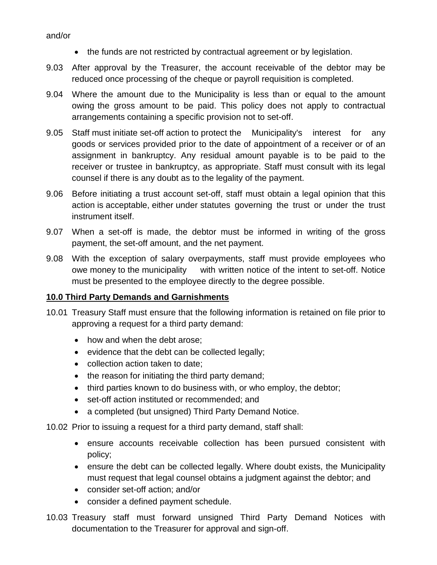#### and/or

- the funds are not restricted by contractual agreement or by legislation.
- 9.03 After approval by the Treasurer, the account receivable of the debtor may be reduced once processing of the cheque or payroll requisition is completed.
- 9.04 Where the amount due to the Municipality is less than or equal to the amount owing the gross amount to be paid. This policy does not apply to contractual arrangements containing a specific provision not to set-off.
- 9.05 Staff must initiate set-off action to protect the Municipality's interest for any goods or services provided prior to the date of appointment of a receiver or of an assignment in bankruptcy. Any residual amount payable is to be paid to the receiver or trustee in bankruptcy, as appropriate. Staff must consult with its legal counsel if there is any doubt as to the legality of the payment.
- 9.06 Before initiating a trust account set-off, staff must obtain a legal opinion that this action is acceptable, either under statutes governing the trust or under the trust instrument itself.
- 9.07 When a set-off is made, the debtor must be informed in writing of the gross payment, the set-off amount, and the net payment.
- 9.08 With the exception of salary overpayments, staff must provide employees who owe money to the municipality with written notice of the intent to set-off. Notice must be presented to the employee directly to the degree possible.

#### **10.0 Third Party Demands and Garnishments**

- 10.01 Treasury Staff must ensure that the following information is retained on file prior to approving a request for a third party demand:
	- how and when the debt arose;
	- evidence that the debt can be collected legally;
	- collection action taken to date;
	- the reason for initiating the third party demand;
	- third parties known to do business with, or who employ, the debtor;
	- set-off action instituted or recommended; and
	- a completed (but unsigned) Third Party Demand Notice.

10.02 Prior to issuing a request for a third party demand, staff shall:

- ensure accounts receivable collection has been pursued consistent with policy;
- ensure the debt can be collected legally. Where doubt exists, the Municipality must request that legal counsel obtains a judgment against the debtor; and
- consider set-off action; and/or
- consider a defined payment schedule.
- 10.03 Treasury staff must forward unsigned Third Party Demand Notices with documentation to the Treasurer for approval and sign-off.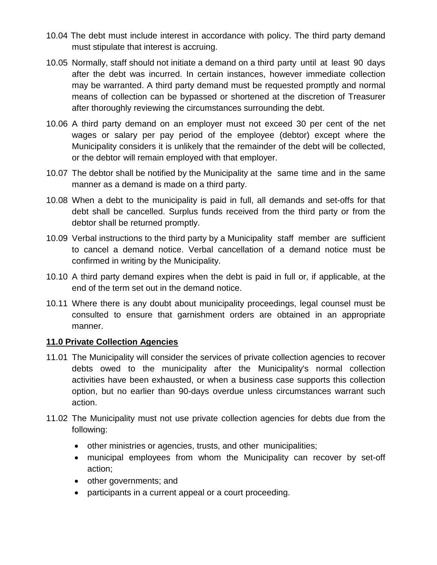- 10.04 The debt must include interest in accordance with policy. The third party demand must stipulate that interest is accruing.
- 10.05 Normally, staff should not initiate a demand on a third party until at least 90 days after the debt was incurred. In certain instances, however immediate collection may be warranted. A third party demand must be requested promptly and normal means of collection can be bypassed or shortened at the discretion of Treasurer after thoroughly reviewing the circumstances surrounding the debt.
- 10.06 A third party demand on an employer must not exceed 30 per cent of the net wages or salary per pay period of the employee (debtor) except where the Municipality considers it is unlikely that the remainder of the debt will be collected, or the debtor will remain employed with that employer.
- 10.07 The debtor shall be notified by the Municipality at the same time and in the same manner as a demand is made on a third party.
- 10.08 When a debt to the municipality is paid in full, all demands and set-offs for that debt shall be cancelled. Surplus funds received from the third party or from the debtor shall be returned promptly.
- 10.09 Verbal instructions to the third party by a Municipality staff member are sufficient to cancel a demand notice. Verbal cancellation of a demand notice must be confirmed in writing by the Municipality.
- 10.10 A third party demand expires when the debt is paid in full or, if applicable, at the end of the term set out in the demand notice.
- 10.11 Where there is any doubt about municipality proceedings, legal counsel must be consulted to ensure that garnishment orders are obtained in an appropriate manner.

#### **11.0 Private Collection Agencies**

- 11.01 The Municipality will consider the services of private collection agencies to recover debts owed to the municipality after the Municipality's normal collection activities have been exhausted, or when a business case supports this collection option, but no earlier than 90-days overdue unless circumstances warrant such action.
- 11.02 The Municipality must not use private collection agencies for debts due from the following:
	- other ministries or agencies, trusts, and other municipalities;
	- municipal employees from whom the Municipality can recover by set-off action;
	- other governments; and
	- participants in a current appeal or a court proceeding.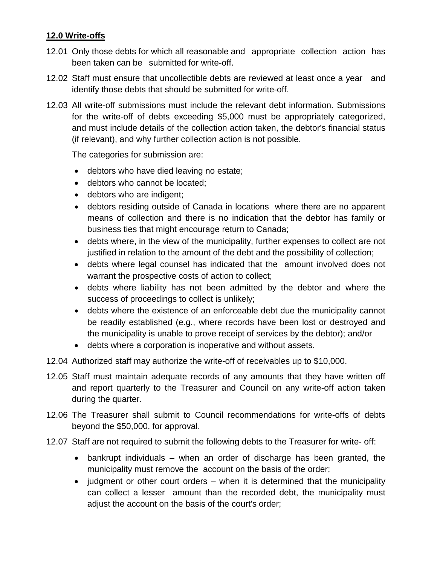## **12.0 Write-offs**

- 12.01 Only those debts for which all reasonable and appropriate collection action has been taken can be submitted for write-off.
- 12.02 Staff must ensure that uncollectible debts are reviewed at least once a year and identify those debts that should be submitted for write-off.
- 12.03 All write-off submissions must include the relevant debt information. Submissions for the write-off of debts exceeding \$5,000 must be appropriately categorized, and must include details of the collection action taken, the debtor's financial status (if relevant), and why further collection action is not possible.

The categories for submission are:

- debtors who have died leaving no estate;
- debtors who cannot be located:
- debtors who are indigent;
- debtors residing outside of Canada in locations where there are no apparent means of collection and there is no indication that the debtor has family or business ties that might encourage return to Canada;
- debts where, in the view of the municipality, further expenses to collect are not justified in relation to the amount of the debt and the possibility of collection;
- debts where legal counsel has indicated that the amount involved does not warrant the prospective costs of action to collect;
- debts where liability has not been admitted by the debtor and where the success of proceedings to collect is unlikely;
- debts where the existence of an enforceable debt due the municipality cannot be readily established (e.g., where records have been lost or destroyed and the municipality is unable to prove receipt of services by the debtor); and/or
- debts where a corporation is inoperative and without assets.
- 12.04 Authorized staff may authorize the write-off of receivables up to \$10,000.
- 12.05 Staff must maintain adequate records of any amounts that they have written off and report quarterly to the Treasurer and Council on any write-off action taken during the quarter.
- 12.06 The Treasurer shall submit to Council recommendations for write-offs of debts beyond the \$50,000, for approval.
- 12.07 Staff are not required to submit the following debts to the Treasurer for write- off:
	- bankrupt individuals when an order of discharge has been granted, the municipality must remove the account on the basis of the order;
	- judgment or other court orders when it is determined that the municipality can collect a lesser amount than the recorded debt, the municipality must adjust the account on the basis of the court's order;